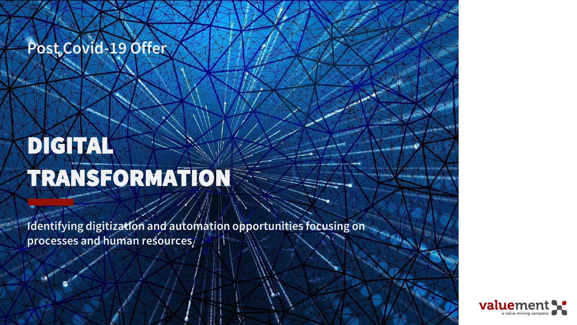#### **Post Covid-19 Offer**

# DIGITAL TRANSFORMATION

**Identifying digitization and automation opportunities focusing on processes and human resources**

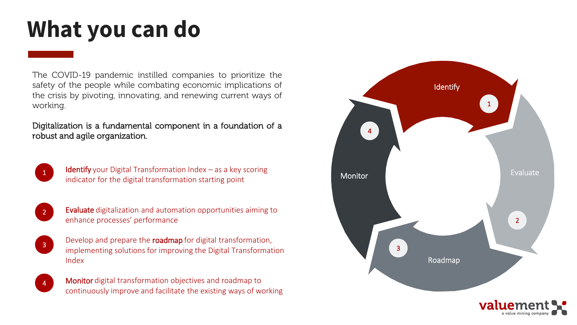#### **What you can do**

The COVID-19 pandemic instilled companies to prioritize the safety of the people while combating economic implications of the crisis by pivoting, innovating, and renewing current ways of working.

#### Digitalization is a fundamental component in a foundation of a robust and agile organization.



**Identify** your Digital Transformation Index  $-$  as a key scoring indicator for the digital transformation starting point



Evaluate digitalization and automation opportunities aiming to enhance processes' performance



4

Develop and prepare the roadmap for digital transformation, implementing solutions for improving the Digital Transformation Index

Monitor digital transformation objectives and roadmap to continuously improve and facilitate the existing ways of working

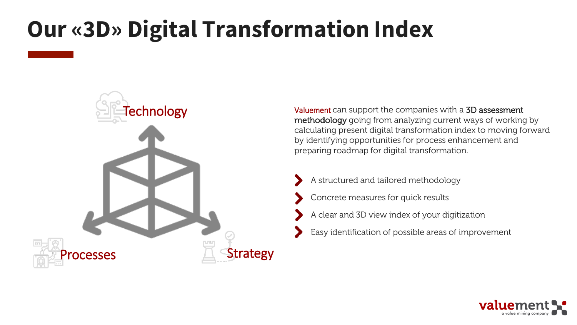#### **Our «3D» Digital Transformation Index**



Valuement can support the companies with a 3D assessment methodology going from analyzing current ways of working by calculating present digital transformation index to moving forward by identifying opportunities for process enhancement and preparing roadmap for digital transformation.

- A structured and tailored methodology
- Concrete measures for quick results
- A clear and 3D view index of your digitization
- Easy identification of possible areas of improvement

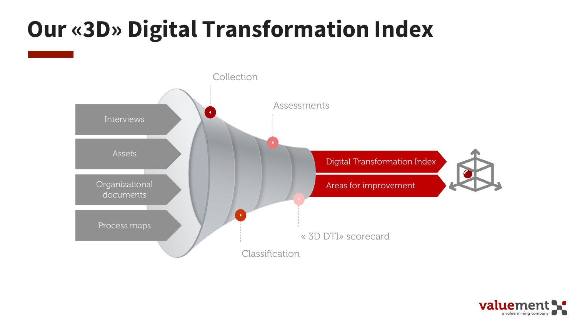## **Our «3D» Digital Transformation Index**